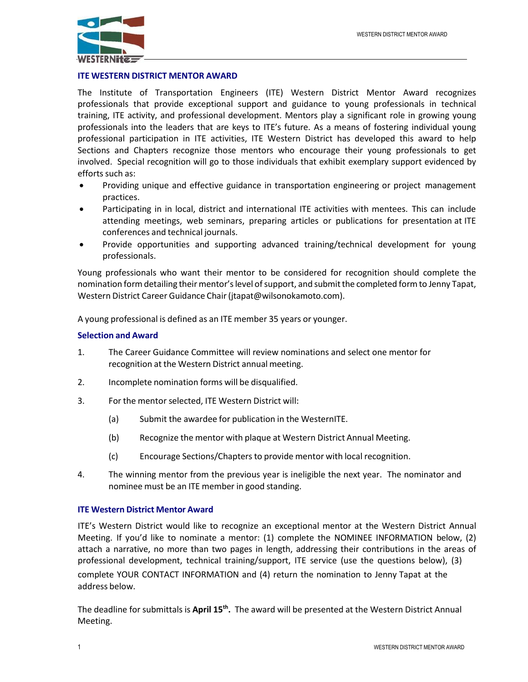

# **ITE WESTERN DISTRICT MENTOR AWARD**

The Institute of Transportation Engineers (ITE) Western District Mentor Award recognizes professionals that provide exceptional support and guidance to young professionals in technical training, ITE activity, and professional development. Mentors play a significant role in growing young professionals into the leaders that are keys to ITE's future. As a means of fostering individual young professional participation in ITE activities, ITE Western District has developed this award to help Sections and Chapters recognize those mentors who encourage their young professionals to get involved. Special recognition will go to those individuals that exhibit exemplary support evidenced by efforts such as:

- Providing unique and effective guidance in transportation engineering or project management practices.
- Participating in in local, district and international ITE activities with mentees. This can include attending meetings, web seminars, preparing articles or publications for presentation at ITE conferences and technical journals.
- Provide opportunities and supporting advanced training/technical development for young professionals.

Young professionals who want their mentor to be considered for recognition should complete the nomination form detailing their mentor's level of support, and submit the completed form to Jenny Tapat, Western District Career Guidance Chair (jtapat@wilsonokamoto.com).

A young professional is defined as an ITE member 35 years or younger.

# **Selection and Award**

- 1. The Career Guidance Committee will review nominations and select one mentor for recognition at the Western District annual meeting.
- 2. Incomplete nomination forms will be disqualified.
- 3. For the mentor selected, ITE Western District will:
	- (a) Submit the awardee for publication in the WesternITE.
	- (b) Recognize the mentor with plaque at Western District Annual Meeting.
	- (c) Encourage Sections/Chaptersto provide mentor with local recognition.
- 4. The winning mentor from the previous year is ineligible the next year. The nominator and nominee must be an ITE member in good standing.

## **ITE Western District Mentor Award**

ITE's Western District would like to recognize an exceptional mentor at the Western District Annual Meeting. If you'd like to nominate a mentor: (1) complete the NOMINEE INFORMATION below, (2) attach a narrative, no more than two pages in length, addressing their contributions in the areas of professional development, technical training/support, ITE service (use the questions below), (3) complete YOUR CONTACT INFORMATION and (4) return the nomination to Jenny Tapat at the address below.

The deadline for submittals is **April 15<sup>th</sup>.** The award will be presented at the Western District Annual Meeting.